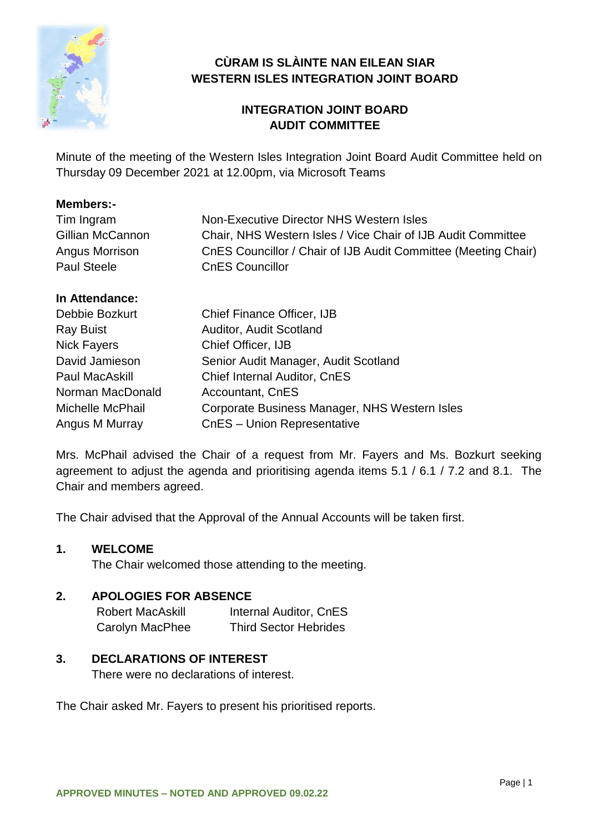

# **CÙRAM IS SLÀINTE NAN EILEAN SIAR WESTERN ISLES INTEGRATION JOINT BOARD**

# **INTEGRATION JOINT BOARD AUDIT COMMITTEE**

Minute of the meeting of the Western Isles Integration Joint Board Audit Committee held on Thursday 09 December 2021 at 12.00pm, via Microsoft Teams

# **Members:-**

| Tim Ingram         | Non-Executive Director NHS Western Isles                       |
|--------------------|----------------------------------------------------------------|
| Gillian McCannon   | Chair, NHS Western Isles / Vice Chair of IJB Audit Committee   |
| Angus Morrison     | CnES Councillor / Chair of IJB Audit Committee (Meeting Chair) |
| <b>Paul Steele</b> | <b>CnES Councillor</b>                                         |

# **In Attendance:**

| Debbie Bozkurt     | <b>Chief Finance Officer, IJB</b>             |  |
|--------------------|-----------------------------------------------|--|
| <b>Ray Buist</b>   | Auditor, Audit Scotland                       |  |
| <b>Nick Fayers</b> | Chief Officer, IJB                            |  |
| David Jamieson     | Senior Audit Manager, Audit Scotland          |  |
| Paul MacAskill     | Chief Internal Auditor, CnES                  |  |
| Norman MacDonald   | Accountant, CnES                              |  |
| Michelle McPhail   | Corporate Business Manager, NHS Western Isles |  |
| Angus M Murray     | CnES - Union Representative                   |  |

Mrs. McPhail advised the Chair of a request from Mr. Fayers and Ms. Bozkurt seeking agreement to adjust the agenda and prioritising agenda items 5.1 / 6.1 / 7.2 and 8.1. The Chair and members agreed.

The Chair advised that the Approval of the Annual Accounts will be taken first.

# **1. WELCOME**

The Chair welcomed those attending to the meeting.

# **2. APOLOGIES FOR ABSENCE**

Robert MacAskill Internal Auditor, CnES Carolyn MacPhee Third Sector Hebrides

# **3. DECLARATIONS OF INTEREST**

There were no declarations of interest.

The Chair asked Mr. Fayers to present his prioritised reports.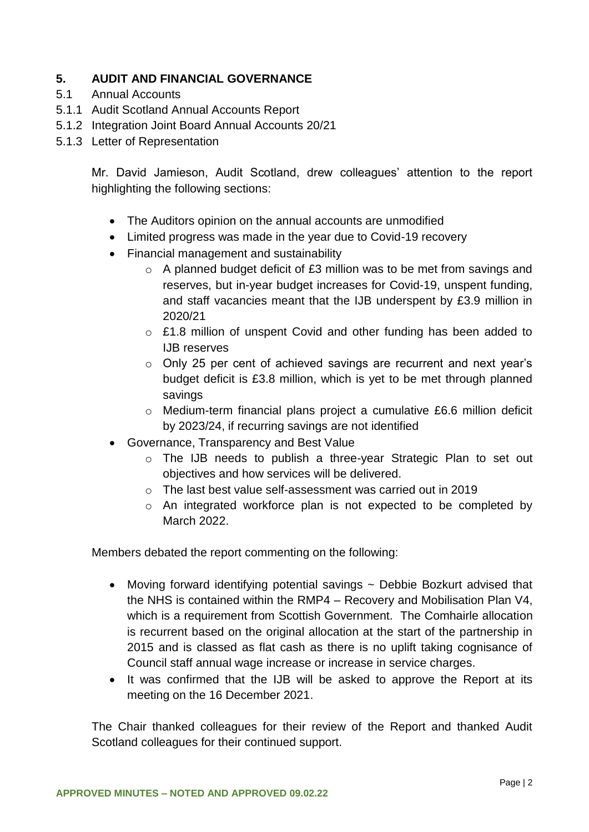# **5. AUDIT AND FINANCIAL GOVERNANCE**

- 5.1 Annual Accounts
- 5.1.1 Audit Scotland Annual Accounts Report
- 5.1.2 Integration Joint Board Annual Accounts 20/21
- 5.1.3 Letter of Representation

Mr. David Jamieson, Audit Scotland, drew colleagues' attention to the report highlighting the following sections:

- The Auditors opinion on the annual accounts are unmodified
- Limited progress was made in the year due to Covid-19 recovery
- Financial management and sustainability
	- $\circ$  A planned budget deficit of £3 million was to be met from savings and reserves, but in-year budget increases for Covid-19, unspent funding, and staff vacancies meant that the IJB underspent by £3.9 million in 2020/21
	- $\circ$  £1.8 million of unspent Covid and other funding has been added to IJB reserves
	- $\circ$  Only 25 per cent of achieved savings are recurrent and next year's budget deficit is £3.8 million, which is yet to be met through planned savings
	- o Medium-term financial plans project a cumulative £6.6 million deficit by 2023/24, if recurring savings are not identified
- Governance, Transparency and Best Value
	- o The IJB needs to publish a three-year Strategic Plan to set out objectives and how services will be delivered.
	- o The last best value self-assessment was carried out in 2019
	- o An integrated workforce plan is not expected to be completed by March 2022.

Members debated the report commenting on the following:

- Moving forward identifying potential savings ~ Debbie Bozkurt advised that the NHS is contained within the RMP4 – Recovery and Mobilisation Plan V4, which is a requirement from Scottish Government. The Comhairle allocation is recurrent based on the original allocation at the start of the partnership in 2015 and is classed as flat cash as there is no uplift taking cognisance of Council staff annual wage increase or increase in service charges.
- It was confirmed that the IJB will be asked to approve the Report at its meeting on the 16 December 2021.

The Chair thanked colleagues for their review of the Report and thanked Audit Scotland colleagues for their continued support.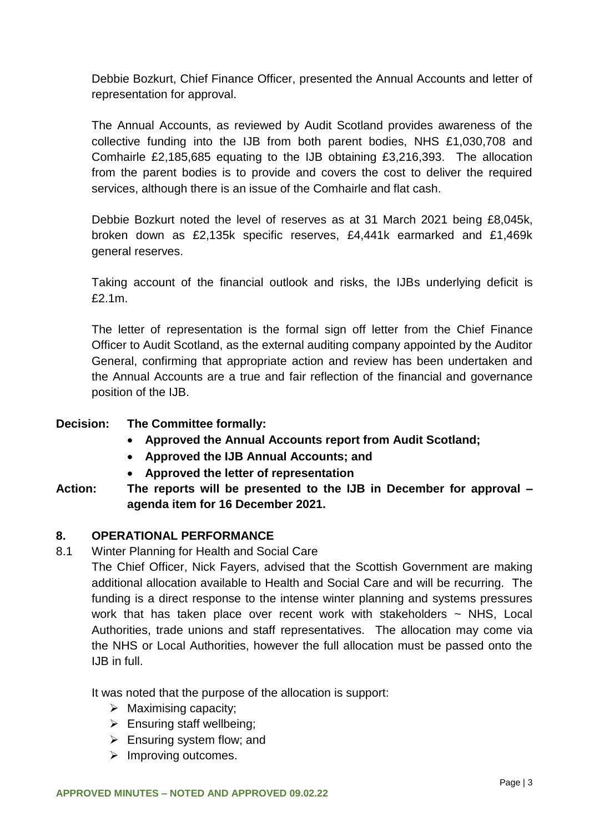Debbie Bozkurt, Chief Finance Officer, presented the Annual Accounts and letter of representation for approval.

The Annual Accounts, as reviewed by Audit Scotland provides awareness of the collective funding into the IJB from both parent bodies, NHS £1,030,708 and Comhairle £2,185,685 equating to the IJB obtaining £3,216,393. The allocation from the parent bodies is to provide and covers the cost to deliver the required services, although there is an issue of the Comhairle and flat cash.

Debbie Bozkurt noted the level of reserves as at 31 March 2021 being £8,045k, broken down as £2,135k specific reserves, £4,441k earmarked and £1,469k general reserves.

Taking account of the financial outlook and risks, the IJBs underlying deficit is £2.1m.

The letter of representation is the formal sign off letter from the Chief Finance Officer to Audit Scotland, as the external auditing company appointed by the Auditor General, confirming that appropriate action and review has been undertaken and the Annual Accounts are a true and fair reflection of the financial and governance position of the IJB.

# **Decision: The Committee formally:**

- **Approved the Annual Accounts report from Audit Scotland;**
- **Approved the IJB Annual Accounts; and**
- **Approved the letter of representation**
- **Action: The reports will be presented to the IJB in December for approval – agenda item for 16 December 2021.**

# **8. OPERATIONAL PERFORMANCE**

8.1 Winter Planning for Health and Social Care

The Chief Officer, Nick Fayers, advised that the Scottish Government are making additional allocation available to Health and Social Care and will be recurring. The funding is a direct response to the intense winter planning and systems pressures work that has taken place over recent work with stakeholders  $\sim$  NHS, Local Authorities, trade unions and staff representatives. The allocation may come via the NHS or Local Authorities, however the full allocation must be passed onto the IJB in full.

It was noted that the purpose of the allocation is support:

- $\triangleright$  Maximising capacity;
- $\triangleright$  Ensuring staff wellbeing;
- $\triangleright$  Ensuring system flow; and
- $\triangleright$  Improving outcomes.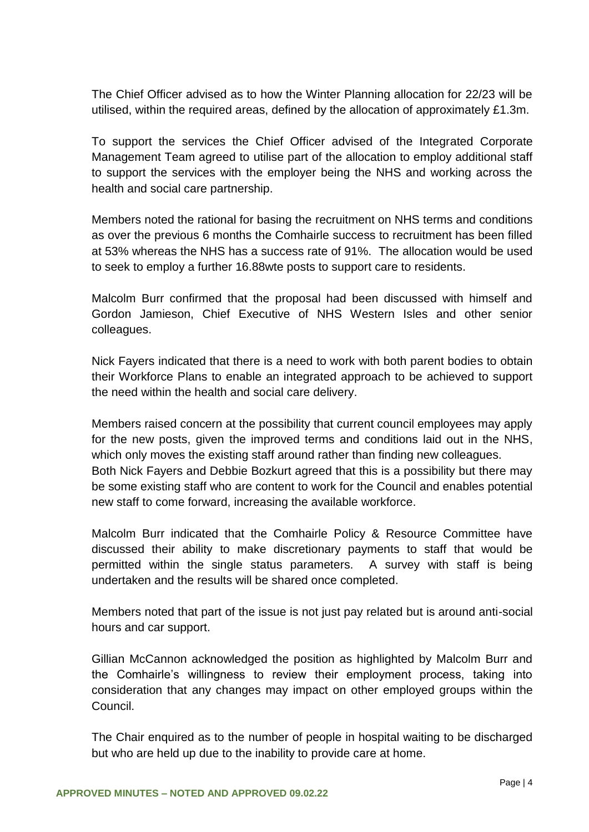The Chief Officer advised as to how the Winter Planning allocation for 22/23 will be utilised, within the required areas, defined by the allocation of approximately £1.3m.

To support the services the Chief Officer advised of the Integrated Corporate Management Team agreed to utilise part of the allocation to employ additional staff to support the services with the employer being the NHS and working across the health and social care partnership.

Members noted the rational for basing the recruitment on NHS terms and conditions as over the previous 6 months the Comhairle success to recruitment has been filled at 53% whereas the NHS has a success rate of 91%. The allocation would be used to seek to employ a further 16.88wte posts to support care to residents.

Malcolm Burr confirmed that the proposal had been discussed with himself and Gordon Jamieson, Chief Executive of NHS Western Isles and other senior colleagues.

Nick Fayers indicated that there is a need to work with both parent bodies to obtain their Workforce Plans to enable an integrated approach to be achieved to support the need within the health and social care delivery.

Members raised concern at the possibility that current council employees may apply for the new posts, given the improved terms and conditions laid out in the NHS, which only moves the existing staff around rather than finding new colleagues. Both Nick Fayers and Debbie Bozkurt agreed that this is a possibility but there may be some existing staff who are content to work for the Council and enables potential new staff to come forward, increasing the available workforce.

Malcolm Burr indicated that the Comhairle Policy & Resource Committee have discussed their ability to make discretionary payments to staff that would be permitted within the single status parameters. A survey with staff is being undertaken and the results will be shared once completed.

Members noted that part of the issue is not just pay related but is around anti-social hours and car support.

Gillian McCannon acknowledged the position as highlighted by Malcolm Burr and the Comhairle's willingness to review their employment process, taking into consideration that any changes may impact on other employed groups within the Council.

The Chair enquired as to the number of people in hospital waiting to be discharged but who are held up due to the inability to provide care at home.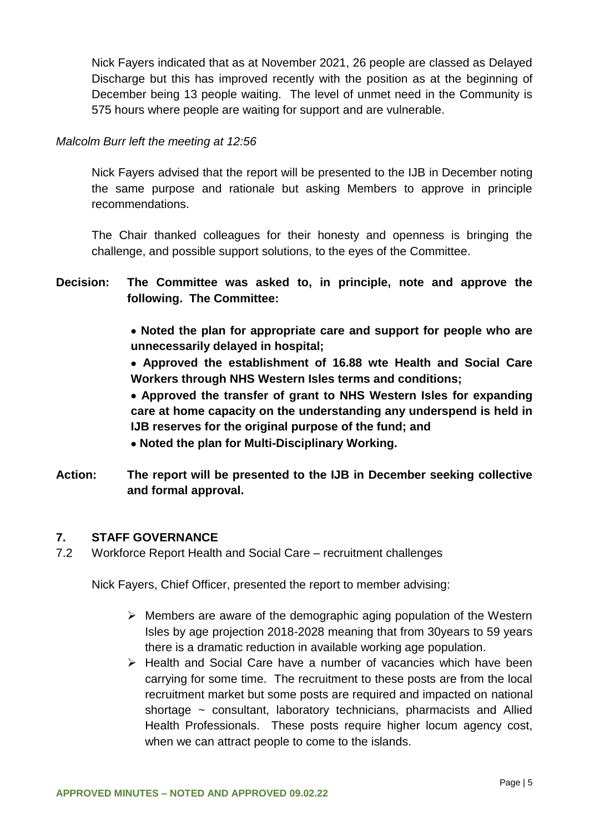Nick Fayers indicated that as at November 2021, 26 people are classed as Delayed Discharge but this has improved recently with the position as at the beginning of December being 13 people waiting. The level of unmet need in the Community is 575 hours where people are waiting for support and are vulnerable.

#### *Malcolm Burr left the meeting at 12:56*

Nick Fayers advised that the report will be presented to the IJB in December noting the same purpose and rationale but asking Members to approve in principle recommendations.

The Chair thanked colleagues for their honesty and openness is bringing the challenge, and possible support solutions, to the eyes of the Committee.

- **Decision: The Committee was asked to, in principle, note and approve the following. The Committee:**
	- **Noted the plan for appropriate care and support for people who are unnecessarily delayed in hospital;**
	- **Approved the establishment of 16.88 wte Health and Social Care Workers through NHS Western Isles terms and conditions;**
	- **Approved the transfer of grant to NHS Western Isles for expanding care at home capacity on the understanding any underspend is held in IJB reserves for the original purpose of the fund; and**
	- **Noted the plan for Multi-Disciplinary Working.**
- **Action: The report will be presented to the IJB in December seeking collective and formal approval.**

#### **7. STAFF GOVERNANCE**

7.2 Workforce Report Health and Social Care – recruitment challenges

Nick Fayers, Chief Officer, presented the report to member advising:

- $\triangleright$  Members are aware of the demographic aging population of the Western Isles by age projection 2018-2028 meaning that from 30years to 59 years there is a dramatic reduction in available working age population.
- $\triangleright$  Health and Social Care have a number of vacancies which have been carrying for some time. The recruitment to these posts are from the local recruitment market but some posts are required and impacted on national shortage  $\sim$  consultant, laboratory technicians, pharmacists and Allied Health Professionals. These posts require higher locum agency cost, when we can attract people to come to the islands.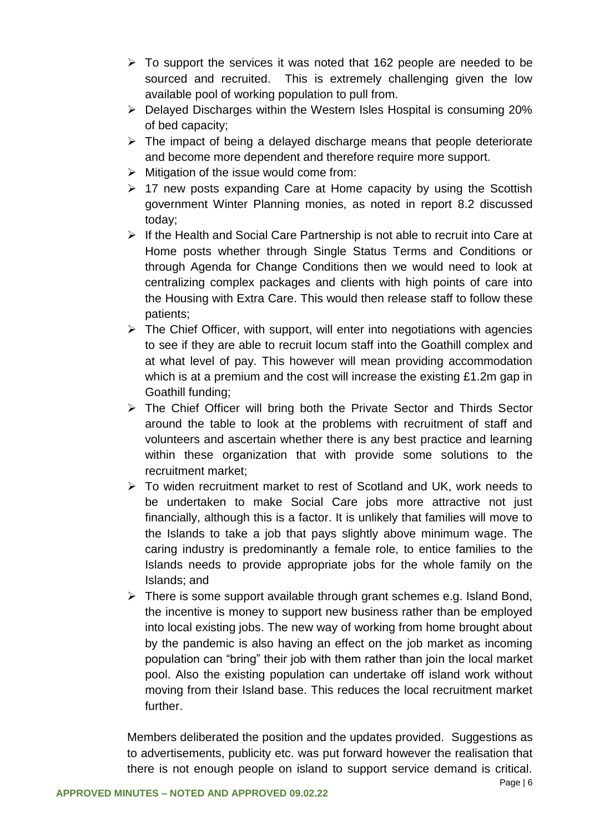- $\triangleright$  To support the services it was noted that 162 people are needed to be sourced and recruited. This is extremely challenging given the low available pool of working population to pull from.
- $\triangleright$  Delayed Discharges within the Western Isles Hospital is consuming 20% of bed capacity;
- $\triangleright$  The impact of being a delayed discharge means that people deteriorate and become more dependent and therefore require more support.
- $\triangleright$  Mitigation of the issue would come from:
- $\geq$  17 new posts expanding Care at Home capacity by using the Scottish government Winter Planning monies, as noted in report 8.2 discussed today;
- $\triangleright$  If the Health and Social Care Partnership is not able to recruit into Care at Home posts whether through Single Status Terms and Conditions or through Agenda for Change Conditions then we would need to look at centralizing complex packages and clients with high points of care into the Housing with Extra Care. This would then release staff to follow these patients;
- $\triangleright$  The Chief Officer, with support, will enter into negotiations with agencies to see if they are able to recruit locum staff into the Goathill complex and at what level of pay. This however will mean providing accommodation which is at a premium and the cost will increase the existing £1.2m gap in Goathill funding;
- $\triangleright$  The Chief Officer will bring both the Private Sector and Thirds Sector around the table to look at the problems with recruitment of staff and volunteers and ascertain whether there is any best practice and learning within these organization that with provide some solutions to the recruitment market;
- $\triangleright$  To widen recruitment market to rest of Scotland and UK, work needs to be undertaken to make Social Care jobs more attractive not just financially, although this is a factor. It is unlikely that families will move to the Islands to take a job that pays slightly above minimum wage. The caring industry is predominantly a female role, to entice families to the Islands needs to provide appropriate jobs for the whole family on the Islands; and
- $\triangleright$  There is some support available through grant schemes e.g. Island Bond, the incentive is money to support new business rather than be employed into local existing jobs. The new way of working from home brought about by the pandemic is also having an effect on the job market as incoming population can "bring" their job with them rather than join the local market pool. Also the existing population can undertake off island work without moving from their Island base. This reduces the local recruitment market further.

Members deliberated the position and the updates provided. Suggestions as to advertisements, publicity etc. was put forward however the realisation that there is not enough people on island to support service demand is critical.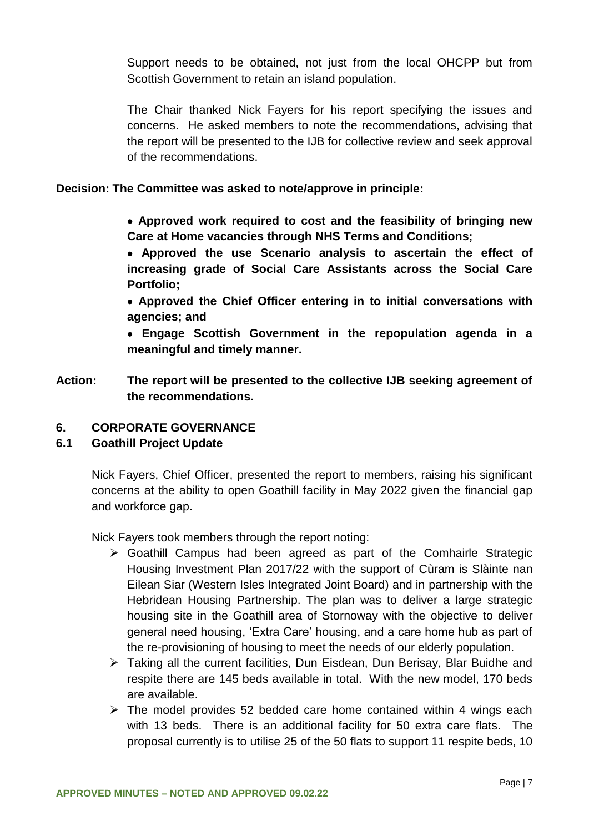Support needs to be obtained, not just from the local OHCPP but from Scottish Government to retain an island population.

The Chair thanked Nick Fayers for his report specifying the issues and concerns. He asked members to note the recommendations, advising that the report will be presented to the IJB for collective review and seek approval of the recommendations.

#### **Decision: The Committee was asked to note/approve in principle:**

- **Approved work required to cost and the feasibility of bringing new Care at Home vacancies through NHS Terms and Conditions;**
- **Approved the use Scenario analysis to ascertain the effect of increasing grade of Social Care Assistants across the Social Care Portfolio;**
- **Approved the Chief Officer entering in to initial conversations with agencies; and**
- **Engage Scottish Government in the repopulation agenda in a meaningful and timely manner.**
- **Action: The report will be presented to the collective IJB seeking agreement of the recommendations.**

# **6. CORPORATE GOVERNANCE**

# **6.1 Goathill Project Update**

Nick Fayers, Chief Officer, presented the report to members, raising his significant concerns at the ability to open Goathill facility in May 2022 given the financial gap and workforce gap.

Nick Fayers took members through the report noting:

- $\triangleright$  Goathill Campus had been agreed as part of the Comhairle Strategic Housing Investment Plan 2017/22 with the support of Cùram is Slàinte nan Eilean Siar (Western Isles Integrated Joint Board) and in partnership with the Hebridean Housing Partnership. The plan was to deliver a large strategic housing site in the Goathill area of Stornoway with the objective to deliver general need housing, 'Extra Care' housing, and a care home hub as part of the re-provisioning of housing to meet the needs of our elderly population.
- Taking all the current facilities, Dun Eisdean, Dun Berisay, Blar Buidhe and respite there are 145 beds available in total. With the new model, 170 beds are available.
- $\triangleright$  The model provides 52 bedded care home contained within 4 wings each with 13 beds. There is an additional facility for 50 extra care flats. The proposal currently is to utilise 25 of the 50 flats to support 11 respite beds, 10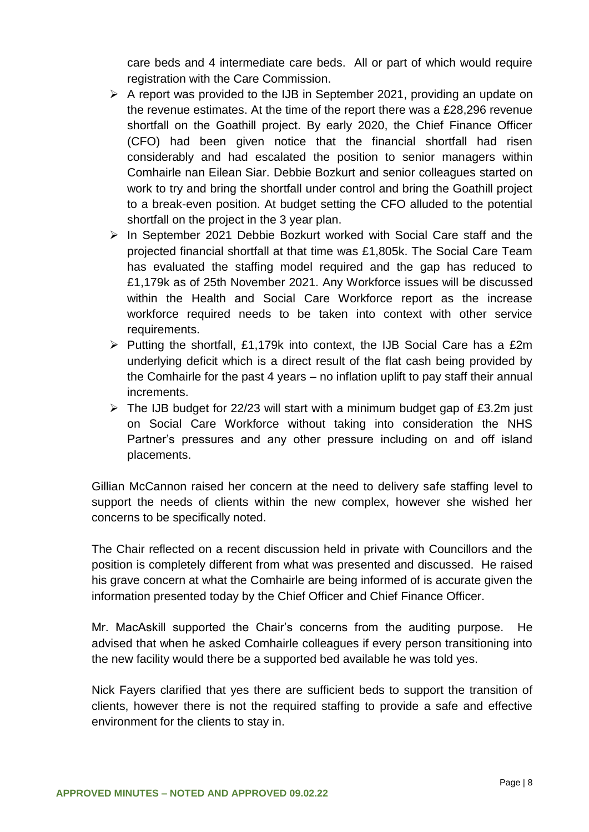care beds and 4 intermediate care beds. All or part of which would require registration with the Care Commission.

- $\triangleright$  A report was provided to the IJB in September 2021, providing an update on the revenue estimates. At the time of the report there was a £28,296 revenue shortfall on the Goathill project. By early 2020, the Chief Finance Officer (CFO) had been given notice that the financial shortfall had risen considerably and had escalated the position to senior managers within Comhairle nan Eilean Siar. Debbie Bozkurt and senior colleagues started on work to try and bring the shortfall under control and bring the Goathill project to a break-even position. At budget setting the CFO alluded to the potential shortfall on the project in the 3 year plan.
- $\triangleright$  In September 2021 Debbie Bozkurt worked with Social Care staff and the projected financial shortfall at that time was £1,805k. The Social Care Team has evaluated the staffing model required and the gap has reduced to £1,179k as of 25th November 2021. Any Workforce issues will be discussed within the Health and Social Care Workforce report as the increase workforce required needs to be taken into context with other service requirements.
- $\triangleright$  Putting the shortfall, £1,179k into context, the IJB Social Care has a £2m underlying deficit which is a direct result of the flat cash being provided by the Comhairle for the past 4 years – no inflation uplift to pay staff their annual increments.
- $\triangleright$  The IJB budget for 22/23 will start with a minimum budget gap of £3.2m just on Social Care Workforce without taking into consideration the NHS Partner's pressures and any other pressure including on and off island placements.

Gillian McCannon raised her concern at the need to delivery safe staffing level to support the needs of clients within the new complex, however she wished her concerns to be specifically noted.

The Chair reflected on a recent discussion held in private with Councillors and the position is completely different from what was presented and discussed. He raised his grave concern at what the Comhairle are being informed of is accurate given the information presented today by the Chief Officer and Chief Finance Officer.

Mr. MacAskill supported the Chair's concerns from the auditing purpose. He advised that when he asked Comhairle colleagues if every person transitioning into the new facility would there be a supported bed available he was told yes.

Nick Fayers clarified that yes there are sufficient beds to support the transition of clients, however there is not the required staffing to provide a safe and effective environment for the clients to stay in.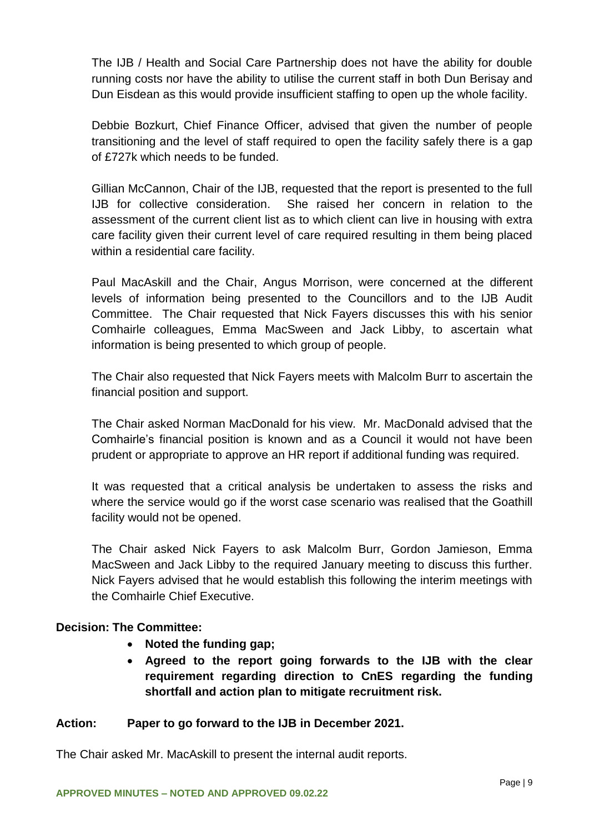The IJB / Health and Social Care Partnership does not have the ability for double running costs nor have the ability to utilise the current staff in both Dun Berisay and Dun Eisdean as this would provide insufficient staffing to open up the whole facility.

Debbie Bozkurt, Chief Finance Officer, advised that given the number of people transitioning and the level of staff required to open the facility safely there is a gap of £727k which needs to be funded.

Gillian McCannon, Chair of the IJB, requested that the report is presented to the full IJB for collective consideration. She raised her concern in relation to the assessment of the current client list as to which client can live in housing with extra care facility given their current level of care required resulting in them being placed within a residential care facility.

Paul MacAskill and the Chair, Angus Morrison, were concerned at the different levels of information being presented to the Councillors and to the IJB Audit Committee. The Chair requested that Nick Fayers discusses this with his senior Comhairle colleagues, Emma MacSween and Jack Libby, to ascertain what information is being presented to which group of people.

The Chair also requested that Nick Fayers meets with Malcolm Burr to ascertain the financial position and support.

The Chair asked Norman MacDonald for his view. Mr. MacDonald advised that the Comhairle's financial position is known and as a Council it would not have been prudent or appropriate to approve an HR report if additional funding was required.

It was requested that a critical analysis be undertaken to assess the risks and where the service would go if the worst case scenario was realised that the Goathill facility would not be opened.

The Chair asked Nick Fayers to ask Malcolm Burr, Gordon Jamieson, Emma MacSween and Jack Libby to the required January meeting to discuss this further. Nick Fayers advised that he would establish this following the interim meetings with the Comhairle Chief Executive.

# **Decision: The Committee:**

- **Noted the funding gap;**
- **Agreed to the report going forwards to the IJB with the clear requirement regarding direction to CnES regarding the funding shortfall and action plan to mitigate recruitment risk.**

# **Action: Paper to go forward to the IJB in December 2021.**

The Chair asked Mr. MacAskill to present the internal audit reports.